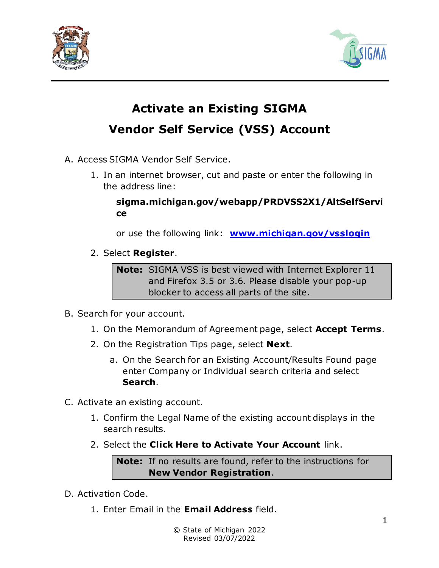



## **Activate an Existing SIGMA Vendor Self Service (VSS) Account**

- A. Access SIGMA Vendor Self Service.
	- 1. In an internet browser, cut and paste or enter the following in the address line:

**sigma.michigan.gov/webapp/PRDVSS2X1/AltSelfServi ce**

or use the following link: **[www.michigan.gov/vsslogin](https://gcc02.safelinks.protection.outlook.com/?url=http%3A%2F%2Fwww.michigan.gov%2Fvsslogin&data=04%7C01%7Cbayleyc1%40michigan.gov%7C5afcde9a61a44a34084a08d9f86e4567%7Cd5fb7087377742ad966a892ef47225d1%7C0%7C0%7C637813974752635090%7CUnknown%7CTWFpbGZsb3d8eyJWIjoiMC4wLjAwMDAiLCJQIjoiV2luMzIiLCJBTiI6Ik1haWwiLCJXVCI6Mn0%3D%7C3000&sdata=ecOlry2Ro4zRPaY5CEtbinvizxSLD8Z0BmqkU%2FsFVdo%3D&reserved=0)**

2. Select **Register**.

**Note:** SIGMA VSS is best viewed with Internet Explorer 11 and Firefox 3.5 or 3.6. Please disable your pop-up blocker to access all parts of the site.

- B. Search for your account.
	- 1. On the Memorandum of Agreement page, select **Accept Terms**.
	- 2. On the Registration Tips page, select **Next**.
		- a. On the Search for an Existing Account/Results Found page enter Company or Individual search criteria and select **Search**.
- C. Activate an existing account.
	- 1. Confirm the Legal Name of the existing account displays in the search results.
	- 2. Select the **Click Here to Activate Your Account** link.

**Note:** If no results are found, refer to the instructions for **New Vendor Registration**.

- D. Activation Code.
	- 1. Enter Email in the **Email Address** field.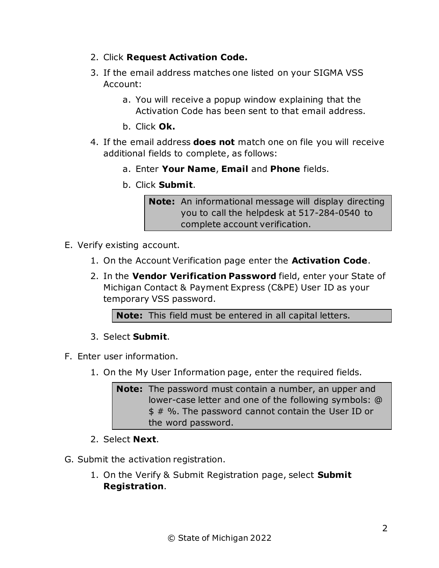- 2. Click **Request Activation Code.**
- 3. If the email address matches one listed on your SIGMA VSS Account:
	- a. You will receive a popup window explaining that the Activation Code has been sent to that email address.
	- b. Click **Ok.**
- 4. If the email address **does not** match one on file you will receive additional fields to complete, as follows:
	- a. Enter **Your Name**, **Email** and **Phone** fields.
	- b. Click **Submit**.

**Note:** An informational message will display directing you to call the helpdesk at 517-284-0540 to complete account verification.

- E. Verify existing account.
	- 1. On the Account Verification page enter the **Activation Code**.
	- 2. In the **Vendor Verification Password** field, enter your State of Michigan Contact & Payment Express (C&PE) User ID as your temporary VSS password.

**Note:** This field must be entered in all capital letters.

- 3. Select **Submit**.
- F. Enter user information.
	- 1. On the My User Information page, enter the required fields.

**Note:** The password must contain a number, an upper and lower-case letter and one of the following symbols: @ \$ # %. The password cannot contain the User ID or the word password.

- 2. Select **Next**.
- G. Submit the activation registration.
	- 1. On the Verify & Submit Registration page, select **Submit Registration**.